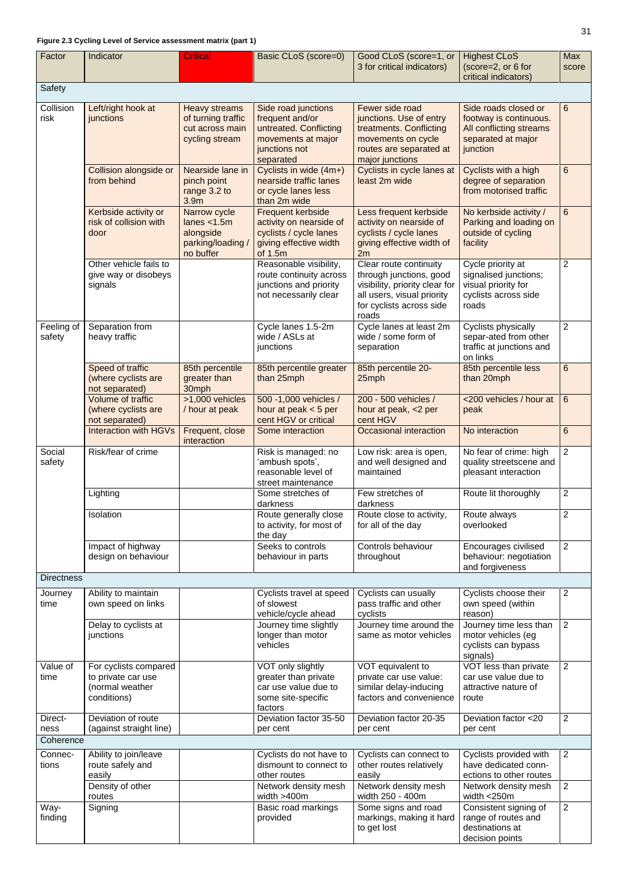## **Figure 2.3 Cycling Level of Service assessment matrix (part 1)**

| Factor               | Indicator                                                                     | <b>Critical</b>                                                                 | Basic CLoS (score=0)                                                                                                 | Good CLoS (score=1, or<br>3 for critical indicators)                                                                                                   | <b>Highest CLoS</b><br>(score=2, or 6 for                                                                   | <b>Max</b><br>score |
|----------------------|-------------------------------------------------------------------------------|---------------------------------------------------------------------------------|----------------------------------------------------------------------------------------------------------------------|--------------------------------------------------------------------------------------------------------------------------------------------------------|-------------------------------------------------------------------------------------------------------------|---------------------|
|                      |                                                                               |                                                                                 |                                                                                                                      |                                                                                                                                                        | critical indicators)                                                                                        |                     |
| Safety               |                                                                               |                                                                                 |                                                                                                                      |                                                                                                                                                        |                                                                                                             |                     |
| Collision<br>risk    | Left/right hook at<br>junctions                                               | <b>Heavy streams</b><br>of turning traffic<br>cut across main<br>cycling stream | Side road junctions<br>frequent and/or<br>untreated. Conflicting<br>movements at major<br>junctions not<br>separated | Fewer side road<br>junctions. Use of entry<br>treatments. Conflicting<br>movements on cycle<br>routes are separated at<br>major junctions              | Side roads closed or<br>footway is continuous.<br>All conflicting streams<br>separated at major<br>junction | 6                   |
|                      | Collision alongside or<br>from behind                                         | Nearside lane in<br>pinch point<br>range 3.2 to<br>3.9 <sub>m</sub>             | Cyclists in wide (4m+)<br>nearside traffic lanes<br>or cycle lanes less<br>than 2m wide                              | Cyclists in cycle lanes at<br>least 2m wide                                                                                                            | Cyclists with a high<br>degree of separation<br>from motorised traffic                                      | $6\phantom{1}$      |
|                      | Kerbside activity or<br>risk of collision with<br>door                        | Narrow cycle<br>lanes $<$ 1.5m<br>alongside<br>parking/loading /<br>no buffer   | <b>Frequent kerbside</b><br>activity on nearside of<br>cyclists / cycle lanes<br>giving effective width<br>of 1.5m   | Less frequent kerbside<br>activity on nearside of<br>cyclists / cycle lanes<br>giving effective width of<br>2m                                         | No kerbside activity /<br>Parking and loading on<br>outside of cycling<br>facility                          | $6\phantom{1}$      |
|                      | Other vehicle fails to<br>give way or disobeys<br>signals                     |                                                                                 | Reasonable visibility,<br>route continuity across<br>junctions and priority<br>not necessarily clear                 | Clear route continuity<br>through junctions, good<br>visibility, priority clear for<br>all users, visual priority<br>for cyclists across side<br>roads | Cycle priority at<br>signalised junctions;<br>visual priority for<br>cyclists across side<br>roads          | $\overline{2}$      |
| Feeling of<br>safety | Separation from<br>heavy traffic                                              |                                                                                 | Cycle lanes 1.5-2m<br>wide / ASLs at<br>junctions                                                                    | Cycle lanes at least 2m<br>wide / some form of<br>separation                                                                                           | Cyclists physically<br>separ-ated from other<br>traffic at junctions and<br>on links                        | $\overline{2}$      |
|                      | Speed of traffic<br>(where cyclists are<br>not separated)                     | 85th percentile<br>greater than<br>30mph                                        | 85th percentile greater<br>than 25mph                                                                                | 85th percentile 20-<br>25mph                                                                                                                           | 85th percentile less<br>than 20mph                                                                          | $6\phantom{1}6$     |
|                      | <b>Volume of traffic</b><br>(where cyclists are<br>not separated)             | >1,000 vehicles<br>/ hour at peak                                               | 500 - 1,000 vehicles /<br>hour at peak $<$ 5 per<br>cent HGV or critical                                             | 200 - 500 vehicles /<br>hour at peak, <2 per<br>cent HGV                                                                                               | <200 vehicles / hour at<br>peak                                                                             | 6                   |
|                      | <b>Interaction with HGVs</b>                                                  | Frequent, close<br>interaction                                                  | Some interaction                                                                                                     | Occasional interaction                                                                                                                                 | No interaction                                                                                              | $6\phantom{1}6$     |
| Social<br>safety     | Risk/fear of crime                                                            |                                                                                 | Risk is managed: no<br>'ambush spots',<br>reasonable level of<br>street maintenance                                  | Low risk: area is open,<br>and well designed and<br>maintained                                                                                         | No fear of crime: high<br>quality streetscene and<br>pleasant interaction                                   | $\overline{2}$      |
|                      | Lighting                                                                      |                                                                                 | Some stretches of<br>darkness                                                                                        | Few stretches of<br>darkness                                                                                                                           | Route lit thoroughly                                                                                        | $\overline{2}$      |
|                      | Isolation                                                                     |                                                                                 | Route generally close<br>to activity, for most of<br>the day                                                         | Route close to activity,<br>for all of the day                                                                                                         | Route always<br>overlooked                                                                                  | $\overline{2}$      |
|                      | Impact of highway<br>design on behaviour                                      |                                                                                 | Seeks to controls<br>behaviour in parts                                                                              | Controls behaviour<br>throughout                                                                                                                       | Encourages civilised<br>behaviour: negotiation<br>and forgiveness                                           | $\overline{2}$      |
| <b>Directness</b>    |                                                                               |                                                                                 |                                                                                                                      |                                                                                                                                                        |                                                                                                             |                     |
| Journey<br>time      | Ability to maintain<br>own speed on links                                     |                                                                                 | Cyclists travel at speed<br>of slowest<br>vehicle/cycle ahead                                                        | Cyclists can usually<br>pass traffic and other<br>cyclists                                                                                             | Cyclists choose their<br>own speed (within<br>reason)                                                       | $\overline{2}$      |
|                      | Delay to cyclists at<br>junctions                                             |                                                                                 | Journey time slightly<br>longer than motor<br>vehicles                                                               | Journey time around the<br>same as motor vehicles                                                                                                      | Journey time less than<br>motor vehicles (eg<br>cyclists can bypass<br>signals)                             | $\overline{2}$      |
| Value of<br>time     | For cyclists compared<br>to private car use<br>(normal weather<br>conditions) |                                                                                 | VOT only slightly<br>greater than private<br>car use value due to<br>some site-specific<br>factors                   | VOT equivalent to<br>private car use value:<br>similar delay-inducing<br>factors and convenience                                                       | VOT less than private<br>car use value due to<br>attractive nature of<br>route                              | $\overline{2}$      |
| Direct-<br>ness      | Deviation of route<br>(against straight line)                                 |                                                                                 | Deviation factor 35-50   Deviation factor 20-35<br>per cent                                                          | per cent                                                                                                                                               | Deviation factor <20<br>per cent                                                                            | $\overline{2}$      |
| Coherence            |                                                                               |                                                                                 |                                                                                                                      |                                                                                                                                                        |                                                                                                             |                     |
| Connec-<br>tions     | Ability to join/leave<br>route safely and<br>easily                           |                                                                                 | Cyclists do not have to<br>dismount to connect to<br>other routes                                                    | Cyclists can connect to<br>other routes relatively<br>easily                                                                                           | Cyclists provided with<br>have dedicated conn-<br>ections to other routes                                   | $\overline{2}$      |
|                      | Density of other<br>routes                                                    |                                                                                 | Network density mesh<br>width $>400m$                                                                                | Network density mesh<br>width 250 - 400m                                                                                                               | Network density mesh<br>width $<$ 250 $m$                                                                   | 2                   |
| Way-<br>finding      | Signing                                                                       |                                                                                 | Basic road markings<br>provided                                                                                      | Some signs and road<br>markings, making it hard<br>to get lost                                                                                         | Consistent signing of<br>range of routes and<br>destinations at<br>decision points                          | $\overline{2}$      |